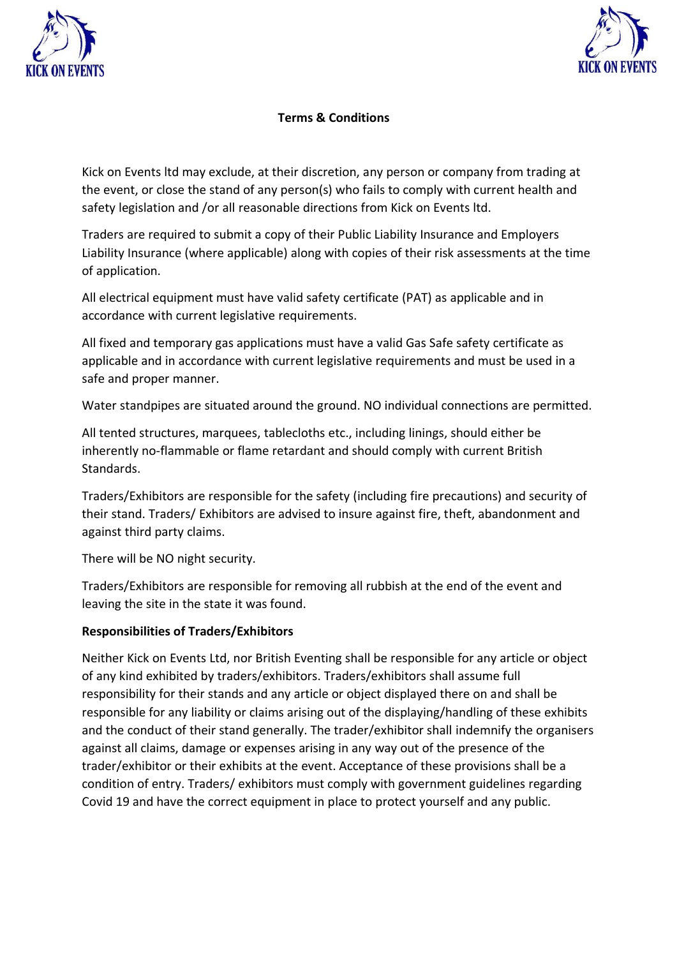



## **Terms & Conditions**

Kick on Events ltd may exclude, at their discretion, any person or company from trading at the event, or close the stand of any person(s) who fails to comply with current health and safety legislation and /or all reasonable directions from Kick on Events ltd.

Traders are required to submit a copy of their Public Liability Insurance and Employers Liability Insurance (where applicable) along with copies of their risk assessments at the time of application.

All electrical equipment must have valid safety certificate (PAT) as applicable and in accordance with current legislative requirements.

All fixed and temporary gas applications must have a valid Gas Safe safety certificate as applicable and in accordance with current legislative requirements and must be used in a safe and proper manner.

Water standpipes are situated around the ground. NO individual connections are permitted.

All tented structures, marquees, tablecloths etc., including linings, should either be inherently no-flammable or flame retardant and should comply with current British Standards.

Traders/Exhibitors are responsible for the safety (including fire precautions) and security of their stand. Traders/ Exhibitors are advised to insure against fire, theft, abandonment and against third party claims.

There will be NO night security.

Traders/Exhibitors are responsible for removing all rubbish at the end of the event and leaving the site in the state it was found.

## **Responsibilities of Traders/Exhibitors**

Neither Kick on Events Ltd, nor British Eventing shall be responsible for any article or object of any kind exhibited by traders/exhibitors. Traders/exhibitors shall assume full responsibility for their stands and any article or object displayed there on and shall be responsible for any liability or claims arising out of the displaying/handling of these exhibits and the conduct of their stand generally. The trader/exhibitor shall indemnify the organisers against all claims, damage or expenses arising in any way out of the presence of the trader/exhibitor or their exhibits at the event. Acceptance of these provisions shall be a condition of entry. Traders/ exhibitors must comply with government guidelines regarding Covid 19 and have the correct equipment in place to protect yourself and any public.